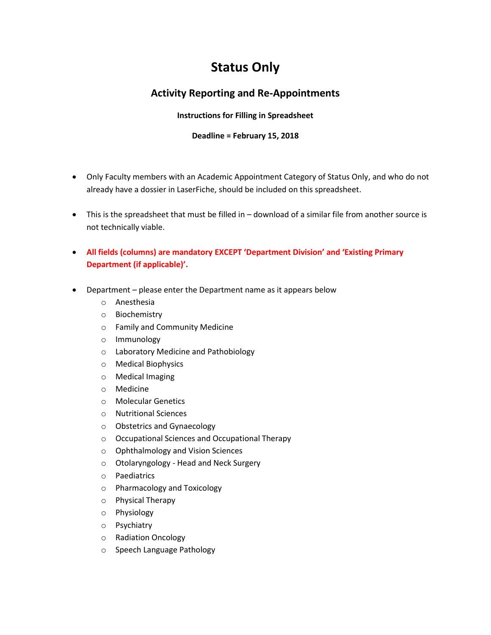## **Status Only**

## **Activity Reporting and Re-Appointments**

## **Instructions for Filling in Spreadsheet**

## **Deadline = February 15, 2018**

- Only Faculty members with an Academic Appointment Category of Status Only, and who do not already have a dossier in LaserFiche, should be included on this spreadsheet.
- This is the spreadsheet that must be filled in download of a similar file from another source is not technically viable.
- **All fields (columns) are mandatory EXCEPT 'Department Division' and 'Existing Primary Department (if applicable)'.**
- Department please enter the Department name as it appears below
	- o Anesthesia
	- o Biochemistry
	- o Family and Community Medicine
	- o Immunology
	- o Laboratory Medicine and Pathobiology
	- o Medical Biophysics
	- o Medical Imaging
	- o Medicine
	- o Molecular Genetics
	- o Nutritional Sciences
	- o Obstetrics and Gynaecology
	- o Occupational Sciences and Occupational Therapy
	- o Ophthalmology and Vision Sciences
	- o Otolaryngology Head and Neck Surgery
	- o Paediatrics
	- o Pharmacology and Toxicology
	- o Physical Therapy
	- o Physiology
	- o Psychiatry
	- o Radiation Oncology
	- o Speech Language Pathology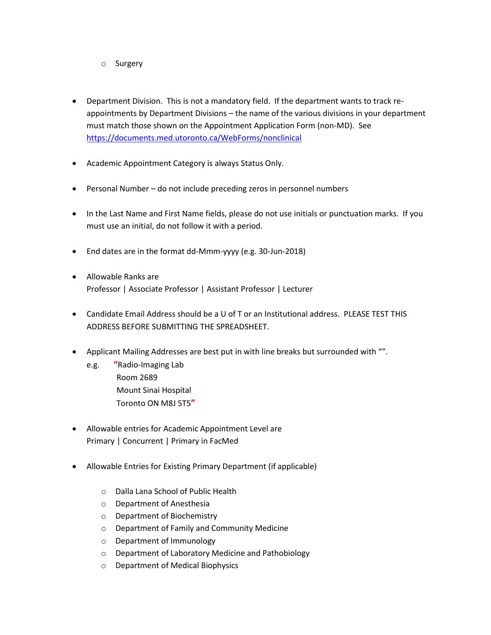- o Surgery
- Department Division. This is not a mandatory field. If the department wants to track reappointments by Department Divisions – the name of the various divisions in your department must match those shown on the Appointment Application Form (non-MD). See <https://documents.med.utoronto.ca/WebForms/nonclinical>
- Academic Appointment Category is always Status Only.
- Personal Number do not include preceding zeros in personnel numbers
- In the Last Name and First Name fields, please do not use initials or punctuation marks. If you must use an initial, do not follow it with a period.
- End dates are in the format dd-Mmm-yyyy (e.g. 30-Jun-2018)
- Allowable Ranks are Professor | Associate Professor | Assistant Professor | Lecturer
- Candidate Email Address should be a U of T or an Institutional address. PLEASE TEST THIS ADDRESS BEFORE SUBMITTING THE SPREADSHEET.
- Applicant Mailing Addresses are best put in with line breaks but surrounded with "".
	- e.g. **"**Radio-Imaging Lab Room 2689 Mount Sinai Hospital Toronto ON M8J 5T5**"**
- Allowable entries for Academic Appointment Level are Primary | Concurrent | Primary in FacMed
- Allowable Entries for Existing Primary Department (if applicable)
	- o Dalla Lana School of Public Health
	- o Department of Anesthesia
	- o Department of Biochemistry
	- o Department of Family and Community Medicine
	- o Department of Immunology
	- o Department of Laboratory Medicine and Pathobiology
	- o Department of Medical Biophysics